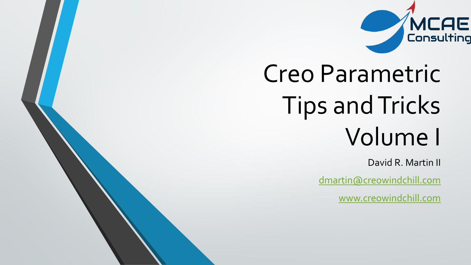

# Creo Parametric Tips and Tricks Volume I

David R. Martin II

[dmartin@creowindchill.com](mailto:dmartin@creowindchill.com)

[www.creowindchill.com](http://www.creowindchill.com/)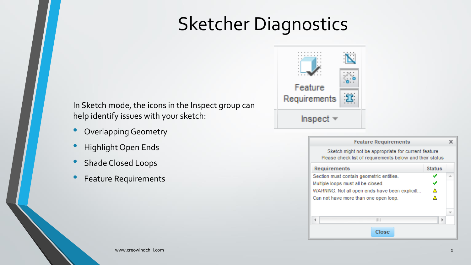### Sketcher Diagnostics

In Sketch mode, the icons in the Inspect group can help identify issues with your sketch:

- Overlapping Geometry
- Highlight Open Ends
- Shade Closed Loops
- Feature Requirements



| <b>Feature Requirements</b>                                                                                     |               |   |
|-----------------------------------------------------------------------------------------------------------------|---------------|---|
| Sketch might not be appropriate for current feature<br>Please check list of requirements below and their status |               |   |
| Requirements                                                                                                    | <b>Status</b> |   |
| Section must contain geometric entities.                                                                        |               | A |
| Multiple loops must all be closed.                                                                              |               |   |
| WARNING: Not all open ends have been explicitl                                                                  | Α             |   |
| Can not have more than one open loop.                                                                           | Δ             |   |
|                                                                                                                 |               |   |
| Ш                                                                                                               | ь             |   |
| Close                                                                                                           |               |   |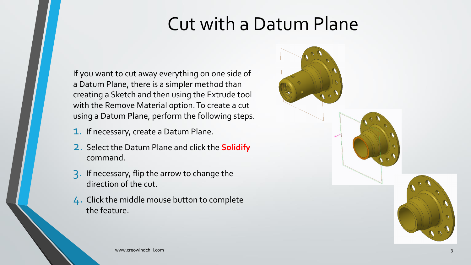#### Cut with a Datum Plane

If you want to cut away everything on one side of a Datum Plane, there is a simpler method than creating a Sketch and then using the Extrude tool with the Remove Material option. To create a cut using a Datum Plane, perform the following steps.

- 1. If necessary, create <sup>a</sup> Datum Plane.
- 2. Select the Datum Plane and click the **Solidify** command.
- 3. If necessary, flip the arrow to change the direction of the cut.
- 4. Click the middle mouse button to complete the feature.

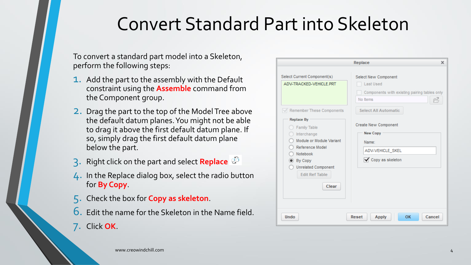#### Convert Standard Part into Skeleton

To convert a standard part model into a Skeleton, perform the following steps:

- **1.** Add the part to the assembly with the Default constraint using the **Assemble** command from the Component group.
- 2. Drag the part to the top of the Model Tree above the default datum planes. You might not be able to drag it above the first default datum plane. If so, simply drag the first default datum plane below the part.
- 3. Right click on the part and select **Replace**
- 4. In the Replace dialog box, select the radio button for **By Copy**.
- 5. Check the box for **Copy as skeleton**.
- 6. Edit the name for the Skeleton in the Name field.
- 7. Click **OK**.

| Select Current Component(s)                                                                                                                                                            | Select New Component                                                                     |
|----------------------------------------------------------------------------------------------------------------------------------------------------------------------------------------|------------------------------------------------------------------------------------------|
| ADV-TRACKED-VEHICLE.PRT                                                                                                                                                                | <b>Last Used</b><br>Components with existing pairing tables only<br>No Items             |
| Remember These Components                                                                                                                                                              | <b>Select All Automatic</b>                                                              |
| <b>Replace By</b><br>Family Table<br>Interchange<br>Module or Module Variant<br>Reference Model<br>Notebook<br>By Copy<br><b>Unrelated Component</b><br><b>Edit Ref Table</b><br>Clear | Create New Component<br><b>New Copy</b><br>Name:<br>ADV-VEHICLE_SKEL<br>Copy as skeleton |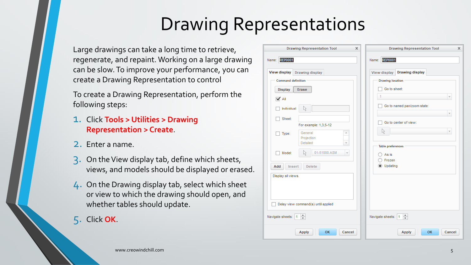### Drawing Representations

Large drawings can take a long time to retrieve, regenerate, and repaint. Working on a large drawing can be slow. To improve your performance, you can create a Drawing Representation to control

To create a Drawing Representation, perform the following steps:

- 1. Click **Tools <sup>&</sup>gt; Utilities <sup>&</sup>gt; Drawing Representation > Create**.
- 2. Enter <sup>a</sup> name.
- 3. On the View display tab, define which sheets, views, and models should be displayed or erased.
- 4. On the Drawing display tab, select which sheet or view to which the drawing should open, and whether tables should update.
- 5. Click **OK**.

| View display<br>Drawing display<br><b>Command definition</b> |                                                        | <b>Drawing display</b><br>View display<br><b>Drawing location</b> |
|--------------------------------------------------------------|--------------------------------------------------------|-------------------------------------------------------------------|
| <b>Display</b><br><b>Erase</b>                               |                                                        | Go to sheet:                                                      |
| $\blacktriangledown$ All                                     |                                                        |                                                                   |
| Individual:<br>R,                                            |                                                        | Go to named pan/zoom state:                                       |
| Sheet:                                                       | For example: 1,3,5-12                                  | Go to center of view:                                             |
| General<br>Type:<br>Projection                               | A                                                      | 1ž.                                                               |
| Detailed<br>Model:<br>V,<br>Add<br>Insert                    | v<br>01-51000.ASM<br>$\overline{\mathbf{v}}$<br>Delete | <b>Table preferences</b><br>As is<br>Frozen<br>Updating           |
| Display all views.                                           |                                                        |                                                                   |
|                                                              |                                                        |                                                                   |
| Delay view command(s) until applied                          |                                                        |                                                                   |
| $\frac{4}{7}$<br>Navigate sheets:                            |                                                        | $\frac{4}{7}$<br>Navigate sheets: 1                               |

ancel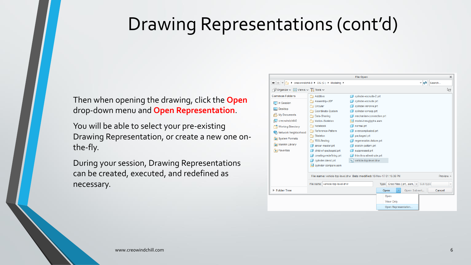#### Drawing Representations (cont'd)

Then when opening the drawing, click the **Open** drop-down menu and **Open Representation**.

You will be able to select your pre-existing Drawing Representation, or create a new one onthe-fly.

During your session, Drawing Representations can be created, executed, and redefined as necessary.

|                                                                         |                                                                       | <b>File Open</b>            |                                           | $\times$            |
|-------------------------------------------------------------------------|-----------------------------------------------------------------------|-----------------------------|-------------------------------------------|---------------------|
| $+ + +$                                                                 | ▶ creowindchill-0 ▶ OS (C:) ▶ Modeling ▶                              |                             | $\frac{1}{2}$                             | Search              |
| $\bigcap$ Organize $\sim$ $\bigcup$ Views $\sim$ $\bigcap$ Tools $\sim$ |                                                                       |                             |                                           | ৃি?                 |
| <b>Common Folders</b>                                                   | Additive                                                              | cylinder-extrude-2.prt      |                                           |                     |
| In Session                                                              | Assembly-UDF                                                          | cylinder-extrude.prt        |                                           |                     |
|                                                                         | Circular                                                              | cylinder-revolve.prt        |                                           |                     |
| Desktop                                                                 | Coordinate-System                                                     | cylinder-sweep.prt          |                                           |                     |
| My Documents<br>但                                                       | Data-Sharing                                                          | mechanism-connection.prt    |                                           |                     |
| creowindchill-0                                                         | Motion-Skeleton                                                       | model-tree-glyphs.asm       |                                           |                     |
| <b>Working Directory</b>                                                | Notebook                                                              | normal.prt                  |                                           |                     |
| Network Neighborhood                                                    | Reference-Pattern                                                     | overcomplicated.prt         |                                           |                     |
|                                                                         | Skeleton                                                              | packaged.prt                |                                           |                     |
| System Formats                                                          | <b>TDD-Testing</b>                                                    | regeneration-failure.prt    |                                           |                     |
| <b>Ell Manikin Library</b>                                              | aircar-master.prt                                                     | sketch-pattern.prt          |                                           |                     |
| * Favorites                                                             | child-of-packaged.prt                                                 | suppressed.prt              |                                           |                     |
|                                                                         | creating-redefining.prt                                               | thin-thru-all-extrude.prt   |                                           |                     |
|                                                                         | cylinder-blend.prt                                                    | vehicle-top-level.drw<br>ıы |                                           |                     |
|                                                                         | $\Box$ cylinder-compare.asm                                           |                             |                                           |                     |
|                                                                         | File name: vehicle-top-level.drw Date modified: 18-Nov-17 01:15:36 PM |                             |                                           | Preview $\triangle$ |
|                                                                         | File name: vehicle-top-level.drw                                      |                             | Type Creo Files (.prt, .asm, v Sub-type   |                     |
| Folder Tree                                                             |                                                                       |                             | Open Subset<br>Open<br>$\bar{\mathbf{v}}$ | Cancel              |
|                                                                         |                                                                       |                             | Open                                      |                     |
|                                                                         |                                                                       |                             | View Only                                 |                     |
|                                                                         |                                                                       |                             | Open Representation                       |                     |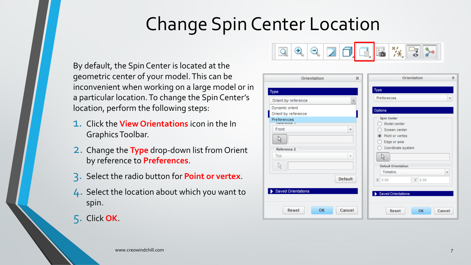## Change Spin Center Location

By default, the Spin Center is located at the geometric center of your model. This can be inconvenient when working on a large model or in a particular location. To change the Spin Center's location, perform the following steps:

- 1. Click the **View Orientations** icon in the In Graphics Toolbar.
- 2. Change the **Type** drop-down list from Orient by reference to **Preferences**.
- 3. Select the radio button for **Point or vertex**.
- 4. Select the location about which you want to spin.
- 5. Click **OK**.



| <b>Orientation</b>                    | x                        | Orientation                        | $\times$                 |
|---------------------------------------|--------------------------|------------------------------------|--------------------------|
| Type                                  |                          | Type                               |                          |
| Orient by reference                   |                          | Preferences                        | $\overline{\phantom{a}}$ |
| Dynamic orient<br>Orient by reference |                          | Options                            |                          |
| Preferences<br><b>INCICLETIVE</b>     |                          | <b>Spin Center</b><br>Model center |                          |
| Front                                 | $\overline{\phantom{a}}$ | Screen center                      |                          |
| ß                                     |                          | • Point or vertex<br>Edge or axis  |                          |
| Reference 2                           |                          | Coordinate system                  |                          |
| Top                                   | $\overline{\phantom{a}}$ | ß                                  |                          |
| $\mathbb{R}$                          |                          | <b>Default Orientation</b>         |                          |
|                                       |                          | Trimetric                          | ÷                        |
|                                       | <b>Default</b>           | Y 0.00<br>X 0.00                   |                          |
| <b>Saved Orientations</b>             |                          |                                    |                          |
|                                       |                          | Saved Orientations                 |                          |
|                                       |                          |                                    |                          |
| Reset<br><b>OK</b>                    | Cancel                   | OK<br>Reset<br>Cancel              |                          |